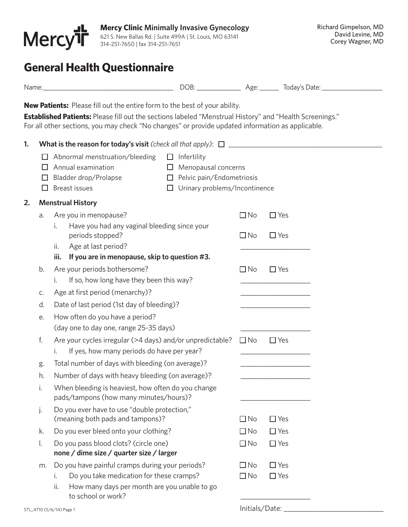

# **General Health Questionnaire**

|    |             | <b>New Patients:</b> Please fill out the entire form to the best of your ability.<br><b>Established Patients:</b> Please fill out the sections labeled "Menstrual History" and "Health Screenings."<br>For all other sections, you may check "No changes" or provide updated information as applicable. |                                                                                                 |                        |                                                            |  |
|----|-------------|---------------------------------------------------------------------------------------------------------------------------------------------------------------------------------------------------------------------------------------------------------------------------------------------------------|-------------------------------------------------------------------------------------------------|------------------------|------------------------------------------------------------|--|
| 1. |             | Abnormal menstruation/bleeding<br>$\Box$ Infertility                                                                                                                                                                                                                                                    |                                                                                                 |                        |                                                            |  |
|    | U<br>$\Box$ | Annual examination<br>Bladder drop/Prolapse<br><b>Breast issues</b><br>⊔                                                                                                                                                                                                                                | $\Box$ Menopausal concerns<br>$\Box$ Pelvic pain/Endometriosis<br>Urinary problems/Incontinence |                        |                                                            |  |
| 2. |             | <b>Menstrual History</b>                                                                                                                                                                                                                                                                                |                                                                                                 |                        |                                                            |  |
|    | a.          | Are you in menopause?<br>Have you had any vaginal bleeding since your<br>i.                                                                                                                                                                                                                             |                                                                                                 | $\Box$ No              | $\Box$ Yes                                                 |  |
|    |             | periods stopped?<br>Age at last period?<br>ii.<br>If you are in menopause, skip to question #3.<br>iii.                                                                                                                                                                                                 |                                                                                                 | $\Box$ No              | $\Box$ Yes                                                 |  |
|    | b.          | Are your periods bothersome?<br>If so, how long have they been this way?<br>i.                                                                                                                                                                                                                          |                                                                                                 | $\Box$ No              | $\Box$ Yes<br>the control of the control of the control of |  |
|    | C.          | Age at first period (menarchy)?                                                                                                                                                                                                                                                                         |                                                                                                 |                        |                                                            |  |
|    | d.          | Date of last period (1st day of bleeding)?                                                                                                                                                                                                                                                              |                                                                                                 |                        |                                                            |  |
|    | е.          | How often do you have a period?<br>(day one to day one, range 25-35 days)                                                                                                                                                                                                                               |                                                                                                 |                        |                                                            |  |
|    | f.          | Are your cycles irregular (>4 days) and/or unpredictable?<br>If yes, how many periods do have per year?<br>i.                                                                                                                                                                                           |                                                                                                 | $\Box$ No              | $\Box$ Yes                                                 |  |
|    | g.          | Total number of days with bleeding (on average)?                                                                                                                                                                                                                                                        |                                                                                                 |                        |                                                            |  |
|    | h.          | Number of days with heavy bleeding (on average)?                                                                                                                                                                                                                                                        |                                                                                                 |                        |                                                            |  |
|    | i.          | When bleeding is heaviest, how often do you change<br>pads/tampons (how many minutes/hours)?                                                                                                                                                                                                            |                                                                                                 |                        |                                                            |  |
|    | j.          | Do you ever have to use "double protection,"<br>(meaning both pads and tampons)?                                                                                                                                                                                                                        |                                                                                                 | $\Box$ No              | $\Box$ Yes                                                 |  |
|    | k.          | Do you ever bleed onto your clothing?                                                                                                                                                                                                                                                                   |                                                                                                 | $\Box$ No              | $\Box$ Yes                                                 |  |
|    | I.          | Do you pass blood clots? (circle one)<br>none / dime size / quarter size / larger                                                                                                                                                                                                                       |                                                                                                 | $\Box$ No              | $\Box$ Yes                                                 |  |
|    | m.          | Do you have painful cramps during your periods?<br>Do you take medication for these cramps?<br>i.<br>How many days per month are you unable to go<br>ii.<br>to school or work?                                                                                                                          |                                                                                                 | $\Box$ No<br>$\Box$ No | $\Box$ Yes<br>$\Box$ Yes                                   |  |

 $STL_4$ 710 (5/6/14) Page 1  $\blacksquare$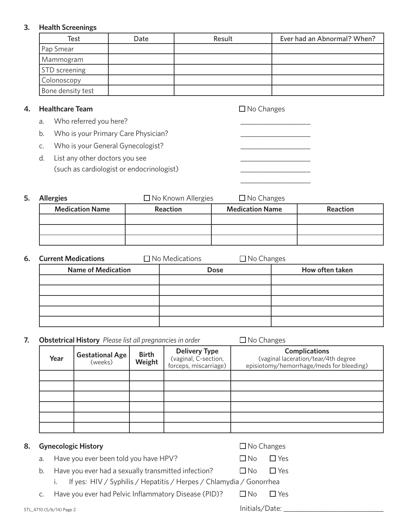# **3. Health Screenings**

| Test                 | Date | Result | Ever had an Abnormal? When? |
|----------------------|------|--------|-----------------------------|
| Pap Smear            |      |        |                             |
| Mammogram            |      |        |                             |
| <b>STD</b> screening |      |        |                             |
| Colonoscopy          |      |        |                             |
| Bone density test    |      |        |                             |

# **4. Healthcare Team No Changes No Changes**

- a. Who referred you here?
- b. Who is your Primary Care Physician?
- c. Who is your General Gynecologist?
- d. List any other doctors you see (such as cardiologist or endocrinologist)

**5. Allergies** No Known Allergies ■ No Changes **Medication Name Reaction Medication Name Reaction**

 $\mathcal{L}_\text{max}$  and  $\mathcal{L}_\text{max}$  and  $\mathcal{L}_\text{max}$  and  $\mathcal{L}_\text{max}$  and  $\mathcal{L}_\text{max}$ 

| <b>6.</b> Current Medications | $\Box$ No Medications |             | $\Box$ No Changes |                 |
|-------------------------------|-----------------------|-------------|-------------------|-----------------|
| <b>Name of Medication</b>     |                       | <b>Dose</b> |                   | How often taken |
|                               |                       |             |                   |                 |
|                               |                       |             |                   |                 |
|                               |                       |             |                   |                 |
|                               |                       |             |                   |                 |
|                               |                       |             |                   |                 |

# **7. Obstetrical History** Please list all pregnancies in order  $\Box$  No Changes

| Year | <b>Gestational Age</b><br>(weeks) | <b>Birth</b><br>Weight | <b>Delivery Type</b><br>(vaginal, C-section,<br>forceps, miscarriage) | <b>Complications</b><br>(vaginal laceration/tear/4th degree<br>episiotomy/hemorrhage/meds for bleeding) |
|------|-----------------------------------|------------------------|-----------------------------------------------------------------------|---------------------------------------------------------------------------------------------------------|
|      |                                   |                        |                                                                       |                                                                                                         |
|      |                                   |                        |                                                                       |                                                                                                         |
|      |                                   |                        |                                                                       |                                                                                                         |
|      |                                   |                        |                                                                       |                                                                                                         |
|      |                                   |                        |                                                                       |                                                                                                         |
|      |                                   |                        |                                                                       |                                                                                                         |

## **8.** Gynecologic History

|  | ∐ No Changes |
|--|--------------|
|  |              |

- a. Have you ever been told you have HPV?  $\Box$  No  $\Box$  Yes
- -
- b. Have you ever had a sexually transmitted infection?  $\Box$  No  $\Box$  Yes i. If yes: HIV / Syphilis / Hepatitis / Herpes / Chlamydia / Gonorrhea

c. Have you ever had Pelvic Inflammatory Disease (PID)?  $\Box$  No  $\Box$  Yes

STL\_4710 (5/6/14) Page 2 Initials/Date: \_\_\_\_\_\_\_\_\_\_\_\_\_\_\_\_\_\_\_\_\_\_\_\_\_\_\_\_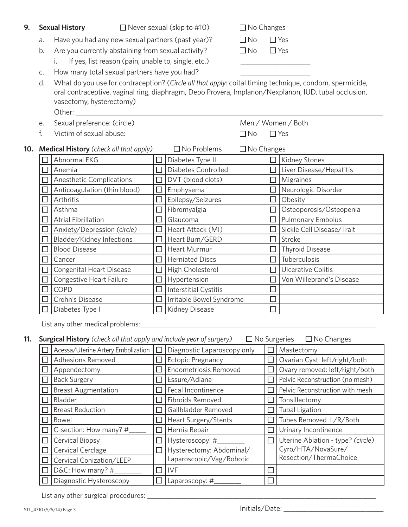- **9. Sexual History**  $\Box$  Never sexual (skip to #10)  $\Box$  No Changes
	- a. Have you had any new sexual partners (past year)?  $\Box$  No  $\Box$  Yes
	- b. Are you currently abstaining from sexual activity?  $\Box$  No  $\Box$  Yes
		- i. If yes, list reason (pain, unable to, single, etc.)
	- c. How many total sexual partners have you had?

d. What do you use for contraception? (*Circle all that apply:* coital timing technique, condom, spermicide, oral contraceptive, vaginal ring, diaphragm, Depo Provera, Implanon/Nexplanon, IUD, tubal occlusion, vasectomy, hysterectomy) Other: \_\_\_\_\_\_\_\_\_\_\_\_\_\_\_\_\_\_\_\_\_\_\_\_\_\_\_\_\_\_\_\_\_\_\_\_\_\_\_\_\_\_\_\_\_\_\_\_\_\_\_\_\_\_\_\_\_\_\_\_\_\_\_\_\_\_\_\_\_\_\_\_\_\_\_\_\_\_\_\_\_\_\_\_\_\_\_\_

- e. Sexual preference: (circle) Men / Women / Both
- f. Victim of sexual abuse:  $\Box$  No  $\Box$  Yes

# **10. Medical History** *(check all that apply)*  $\Box$  No Problems  $\Box$  No Changes  $\Box$  Abnormal EKG  $\Box$  Diabetes Type II  $\Box$  Kidney Stones Anemia Diabetes Controlled Liver Disease/Hepatitis  $\Box$  Anesthetic Complications  $\Box$  DVT (blood clots)  $\Box$  Migraines  $\Box$  Anticoagulation (thin blood)  $\Box$  Emphysema  $\Box$  Neurologic Disorder  $\Box$  Arthritis  $\Box$  Epilepsy/Seizures  $\Box$  Obesity  $\Box$  Asthma  $\Box$  Fibromyalgia  $\Box$  Osteoporosis/Osteopenia  $\Box$  Atrial Fibrillation  $\Box$  Glaucoma  $\Box$  Pulmonary Embolus Anxiety/Depression *(circle)* Heart Attack (MI) Sickle Cell Disease/Trait  $\Box$  Bladder/Kidney Infections  $|\Box|$  Heart Burn/GERD  $|\Box|$  Stroke  $\Box$  Blood Disease  $\Box$  Heart Murmur  $\Box$  Thyroid Disease  $\Box$  Herniated Discs  $\Box$  Tuberculosis  $\Box$  Congenital Heart Disease  $\Box$  High Cholesterol  $\Box$  Ulcerative Colitis  $\Box$  Congestive Heart Failure  $|\Box|$  Hypertension  $|\Box|$  Von Willebrand's Disease  $\Box$  COPD  $\Box$  Interstitial Cystitis  $\Box$  $\Box$  Crohn's Disease  $\Box$  Irritable Bowel Syndrome  $\Box$  $\Box$  Diabetes Type I  $\Box$  Kidney Disease  $\Box$

List any other medical problems:

### **11. Surgical History** *(check all that apply and include year of surgery)*  $\Box$  No Surgeries  $\Box$  No Changes

| Acessa/Uterine Artery Embolization |        | Diagnostic Laparoscopy only |    | Mastectomy                        |
|------------------------------------|--------|-----------------------------|----|-----------------------------------|
| <b>Adhesions Removed</b>           |        | <b>Ectopic Pregnancy</b>    |    | Ovarian Cyst: left/right/both     |
| Appendectomy                       |        | Endometriosis Removed       |    | Ovary removed: left/right/both    |
| <b>Back Surgery</b>                |        | Essure/Adiana               |    | Pelvic Reconstruction (no mesh)   |
| <b>Breast Augmentation</b>         |        | Fecal Incontinence          |    | Pelvic Reconstruction with mesh   |
| Bladder                            |        | Fibroids Removed            |    | Tonsillectomy                     |
| <b>Breast Reduction</b>            |        | Gallbladder Removed         |    | <b>Tubal Ligation</b>             |
| <b>Bowel</b>                       |        | Heart Surgery/Stents        |    | Tubes Removed L/R/Both            |
| C-section: How many? #             |        | Hernia Repair               | LΙ | Urinary Incontinence              |
| <b>Cervical Biopsy</b>             |        | Hysteroscopy: #             | Ш  | Uterine Ablation - type? (circle) |
| <b>Cervical Cerclage</b>           | П      | Hysterectomy: Abdominal/    |    | Cyro/HTA/NovaSure/                |
| Cervical Conization/LEEP           |        | Laparoscopic/Vag/Robotic    |    | Resection/ThermaChoice            |
| D&C: How many? #                   | $\Box$ | <b>IVF</b>                  | u  |                                   |
| Diagnostic Hysteroscopy            |        | Laparoscopy: #              |    |                                   |

List any other surgical procedures: \_\_\_\_\_\_\_\_\_\_\_\_\_\_\_\_\_\_\_\_\_\_\_\_\_\_\_\_\_\_\_\_\_\_\_\_\_\_\_\_\_\_\_\_\_\_\_\_\_\_\_\_\_\_\_\_\_\_\_\_\_\_\_\_\_\_\_

| - - - - -<br>$\sim$<br>$\sim$<br>$\sim$ |
|-----------------------------------------|
| $\sim$                                  |

 $STL_4$ 710 (5/6/14) Page 3  $\blacksquare$